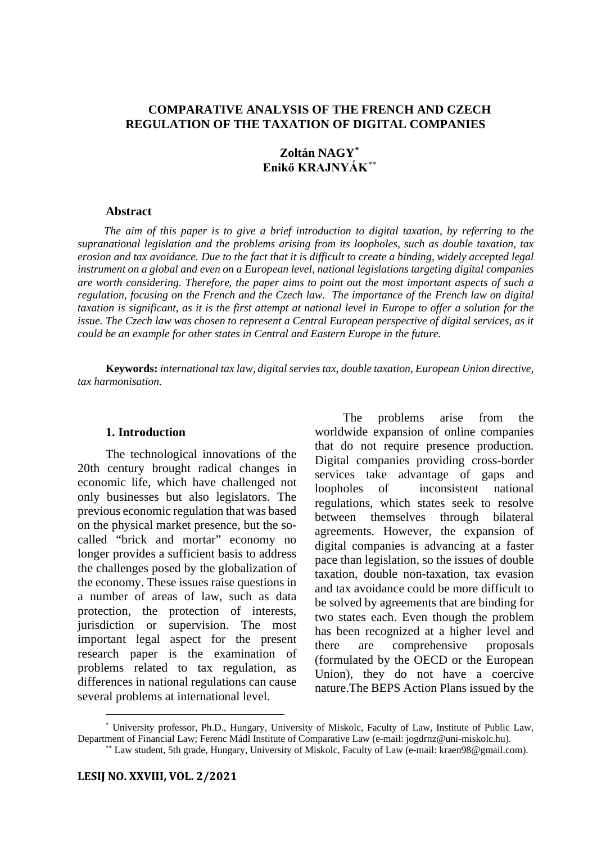### **COMPARATIVE ANALYSIS OF THE FRENCH AND CZECH REGULATION OF THE TAXATION OF DIGITAL COMPANIES**

# **Zoltán NAGY[\\*](#page-0-0) Enikő KRAJNYÁK**[\\*\\*](#page-0-1)

#### **Abstract**

*The aim of this paper is to give a brief introduction to digital taxation, by referring to the supranational legislation and the problems arising from its loopholes, such as double taxation, tax erosion and tax avoidance. Due to the fact that it is difficult to create a binding, widely accepted legal instrument on a global and even on a European level, national legislations targeting digital companies are worth considering. Therefore, the paper aims to point out the most important aspects of such a regulation, focusing on the French and the Czech law. The importance of the French law on digital taxation is significant, as it is the first attempt at national level in Europe to offer a solution for the issue. The Czech law was chosen to represent a Central European perspective of digital services, as it could be an example for other states in Central and Eastern Europe in the future.* 

**Keywords:** *international tax law, digital servies tax, double taxation, European Union directive, tax harmonisation.*

#### **1. Introduction**

The technological innovations of the 20th century brought radical changes in economic life, which have challenged not only businesses but also legislators. The previous economic regulation that was based on the physical market presence, but the socalled "brick and mortar" economy no longer provides a sufficient basis to address the challenges posed by the globalization of the economy. These issues raise questions in a number of areas of law, such as data protection, the protection of interests, jurisdiction or supervision. The most important legal aspect for the present research paper is the examination of problems related to tax regulation, as differences in national regulations can cause several problems at international level.

The problems arise from the worldwide expansion of online companies that do not require presence production. Digital companies providing cross-border services take advantage of gaps and loopholes of inconsistent national regulations, which states seek to resolve between themselves through bilateral agreements. However, the expansion of digital companies is advancing at a faster pace than legislation, so the issues of double taxation, double non-taxation, tax evasion and tax avoidance could be more difficult to be solved by agreements that are binding for two states each. Even though the problem has been recognized at a higher level and there are comprehensive proposals (formulated by the OECD or the European Union), they do not have a coercive nature.The BEPS Action Plans issued by the

<span id="page-0-1"></span><span id="page-0-0"></span>\* University professor, Ph.D., Hungary, University of Miskolc, Faculty of Law, Institute of Public Law, Department of Financial Law; Ferenc Mádl Institute of Comparative Law (e-mail: jogdrnz@uni-miskolc.hu).

<sup>\*\*</sup> Law student, 5th grade, Hungary, University of Miskolc, Faculty of Law (e-mail: kraen98@gmail.com).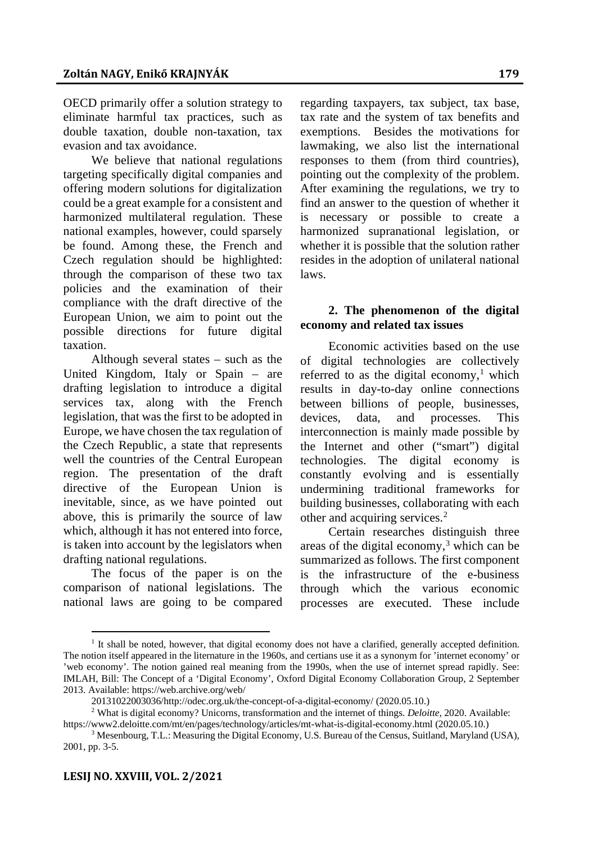OECD primarily offer a solution strategy to eliminate harmful tax practices, such as double taxation, double non-taxation, tax evasion and tax avoidance.

We believe that national regulations targeting specifically digital companies and offering modern solutions for digitalization could be a great example for a consistent and harmonized multilateral regulation. These national examples, however, could sparsely be found. Among these, the French and Czech regulation should be highlighted: through the comparison of these two tax policies and the examination of their compliance with the draft directive of the European Union, we aim to point out the possible directions for future digital taxation.

Although several states – such as the United Kingdom, Italy or Spain – are drafting legislation to introduce a digital services tax, along with the French legislation, that was the first to be adopted in Europe, we have chosen the tax regulation of the Czech Republic, a state that represents well the countries of the Central European region. The presentation of the draft directive of the European Union is inevitable, since, as we have pointed out above, this is primarily the source of law which, although it has not entered into force, is taken into account by the legislators when drafting national regulations.

The focus of the paper is on the comparison of national legislations. The national laws are going to be compared

regarding taxpayers, tax subject, tax base, tax rate and the system of tax benefits and exemptions. Besides the motivations for lawmaking, we also list the international responses to them (from third countries), pointing out the complexity of the problem. After examining the regulations, we try to find an answer to the question of whether it is necessary or possible to create a harmonized supranational legislation, or whether it is possible that the solution rather resides in the adoption of unilateral national laws.

# **2. The phenomenon of the digital economy and related tax issues**

Economic activities based on the use of digital technologies are collectively referred to as the digital economy,<sup>1</sup> which results in day-to-day online connections between billions of people, businesses, devices, data, and processes. This interconnection is mainly made possible by the Internet and other ("smart") digital technologies. The digital economy is constantly evolving and is essentially undermining traditional frameworks for building businesses, collaborating with each other and acquiring services.[2](#page-1-1)

Certain researches distinguish three areas of the digital economy, $3$  which can be summarized as follows. The first component is the infrastructure of the e-business through which the various economic processes are executed. These include

<span id="page-1-0"></span><sup>&</sup>lt;sup>1</sup> It shall be noted, however, that digital economy does not have a clarified, generally accepted definition. The notion itself appeared in the liternature in the 1960s, and certians use it as a synonym for 'internet economy' or 'web economy'. The notion gained real meaning from the 1990s, when the use of internet spread rapidly. See: IMLAH, Bill: The Concept of a 'Digital Economy', Oxford Digital Economy Collaboration Group, 2 September 2013. Available: https://web.archive.org/web/

<sup>20131022003036/</sup>http://odec.org.uk/the-concept-of-a-digital-economy/ (2020.05.10.)

<span id="page-1-1"></span><sup>2</sup> What is digital economy? Unicorns, transformation and the internet of things. *Deloitte*, 2020. Available: https://www2.deloitte.com/mt/en/pages/technology/articles/mt-what-is-digital-economy.html (2020.05.10.)

<span id="page-1-2"></span> $3$  Mesenbourg, T.L.: Measuring the Digital Economy, U.S. Bureau of the Census, Suitland, Maryland (USA), 2001, pp. 3-5.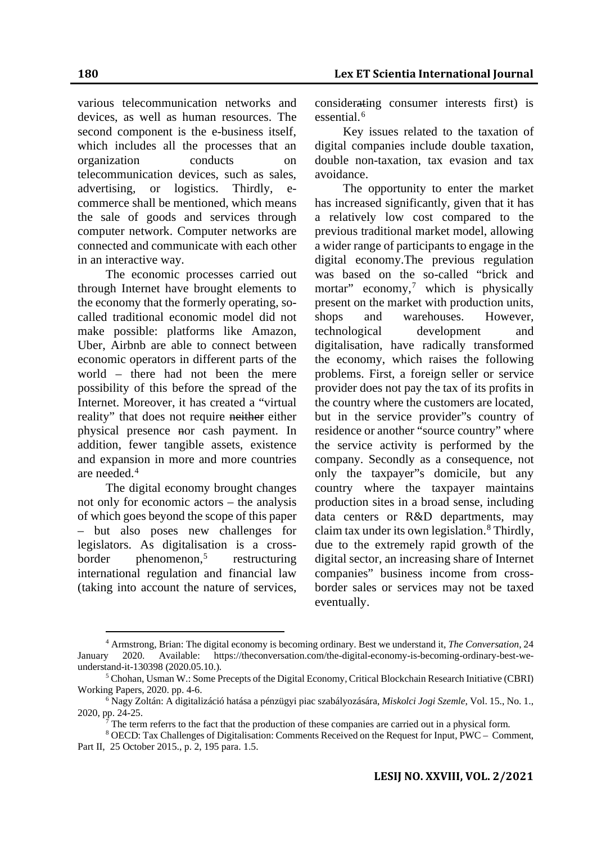various telecommunication networks and devices, as well as human resources. The second component is the e-business itself, which includes all the processes that an organization conducts on telecommunication devices, such as sales, advertising, or logistics. Thirdly, commerce shall be mentioned, which means the sale of goods and services through computer network. Computer networks are connected and communicate with each other in an interactive way.

The economic processes carried out through Internet have brought elements to the economy that the formerly operating, socalled traditional economic model did not make possible: platforms like Amazon, Uber, Airbnb are able to connect between economic operators in different parts of the world – there had not been the mere possibility of this before the spread of the Internet. Moreover, it has created a "virtual reality" that does not require neither either physical presence nor cash payment. In addition, fewer tangible assets, existence and expansion in more and more countries are needed.<sup>[4](#page-2-0)</sup>

The digital economy brought changes not only for economic actors – the analysis of which goes beyond the scope of this paper – but also poses new challenges for legislators. As digitalisation is a cross $border$  phenomenon,<sup>[5](#page-2-1)</sup> restructuring international regulation and financial law (taking into account the nature of services,

considerating consumer interests first) is essential.<sup>[6](#page-2-2)</sup>

Key issues related to the taxation of digital companies include double taxation, double non-taxation, tax evasion and tax avoidance.

The opportunity to enter the market has increased significantly, given that it has a relatively low cost compared to the previous traditional market model, allowing a wider range of participants to engage in the digital economy.The previous regulation was based on the so-called "brick and mortar" economy,<sup>7</sup> which is physically present on the market with production units, shops and warehouses. However, technological development and digitalisation, have radically transformed the economy, which raises the following problems. First, a foreign seller or service provider does not pay the tax of its profits in the country where the customers are located, but in the service provider"s country of residence or another "source country" where the service activity is performed by the company. Secondly as a consequence, not only the taxpayer"s domicile, but any country where the taxpayer maintains production sites in a broad sense, including data centers or R&D departments, may claim tax under its own legislation.<sup>[8](#page-2-4)</sup> Thirdly, due to the extremely rapid growth of the digital sector, an increasing share of Internet companies" business income from crossborder sales or services may not be taxed eventually.

<span id="page-2-0"></span><sup>4</sup> Armstrong, Brian: The digital economy is becoming ordinary. Best we understand it, *The Conversation*, 24 2020. Available: https://theconversation.com/the-digital-economy-is-becoming-ordinary-best-weunderstand-it-130398 (2020.05.10.).

<span id="page-2-1"></span><sup>5</sup> Chohan, Usman W.: Some Precepts of the Digital Economy, Critical Blockchain Research Initiative (CBRI) Working Papers, 2020. pp. 4-6.

<span id="page-2-2"></span><sup>6</sup> Nagy Zoltán: A digitalizáció hatása a pénzügyi piac szabályozására, *Miskolci Jogi Szemle*, Vol. 15., No. 1., 2020, pp. 24-25.

<sup>7</sup> The term referrs to the fact that the production of these companies are carried out in a physical form.

<span id="page-2-4"></span><span id="page-2-3"></span><sup>8</sup> OECD: Tax Challenges of Digitalisation: Comments Received on the Request for Input, PWC – Comment, Part II, 25 October 2015., p. 2, 195 para. 1.5.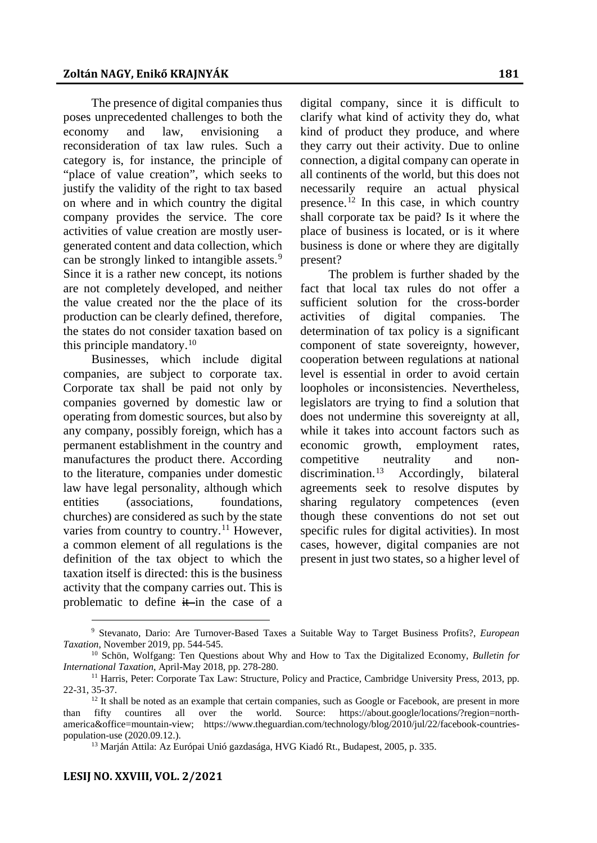The presence of digital companies thus poses unprecedented challenges to both the economy and law, envisioning a reconsideration of tax law rules. Such a category is, for instance, the principle of "place of value creation", which seeks to justify the validity of the right to tax based on where and in which country the digital company provides the service. The core activities of value creation are mostly usergenerated content and data collection, which can be strongly linked to intangible assets.<sup>[9](#page-3-0)</sup> Since it is a rather new concept, its notions are not completely developed, and neither the value created nor the the place of its production can be clearly defined, therefore, the states do not consider taxation based on this principle mandatory. $10$ 

Businesses, which include digital companies, are subject to corporate tax. Corporate tax shall be paid not only by companies governed by domestic law or operating from domestic sources, but also by any company, possibly foreign, which has a permanent establishment in the country and manufactures the product there. According to the literature, companies under domestic law have legal personality, although which entities (associations, foundations, churches) are considered as such by the state varies from country to country.<sup>[11](#page-3-2)</sup> However, a common element of all regulations is the definition of the tax object to which the taxation itself is directed: this is the business activity that the company carries out. This is problematic to define  $\frac{1}{x}$  in the case of a

digital company, since it is difficult to clarify what kind of activity they do, what kind of product they produce, and where they carry out their activity. Due to online connection, a digital company can operate in all continents of the world, but this does not necessarily require an actual physical presence.<sup>[12](#page-3-3)</sup> In this case, in which country shall corporate tax be paid? Is it where the place of business is located, or is it where business is done or where they are digitally present?

The problem is further shaded by the fact that local tax rules do not offer a sufficient solution for the cross-border activities of digital companies. The determination of tax policy is a significant component of state sovereignty, however, cooperation between regulations at national level is essential in order to avoid certain loopholes or inconsistencies. Nevertheless, legislators are trying to find a solution that does not undermine this sovereignty at all, while it takes into account factors such as economic growth, employment rates, competitive neutrality and non-discrimination.<sup>[13](#page-3-4)</sup> Accordingly, bilateral agreements seek to resolve disputes by sharing regulatory competences (even though these conventions do not set out specific rules for digital activities). In most cases, however, digital companies are not present in just two states, so a higher level of

<span id="page-3-0"></span><sup>9</sup> Stevanato, Dario: Are Turnover-Based Taxes a Suitable Way to Target Business Profits?, *European Taxation*, November 2019, pp. 544-545.

<span id="page-3-1"></span><sup>10</sup> Schön, Wolfgang: Ten Questions about Why and How to Tax the Digitalized Economy, *Bulletin for International Taxation*, April-May 2018, pp. 278-280.

<span id="page-3-2"></span><sup>&</sup>lt;sup>11</sup> Harris, Peter: Corporate Tax Law: Structure, Policy and Practice, Cambridge University Press, 2013, pp. 22-31, 35-37.

<span id="page-3-4"></span><span id="page-3-3"></span> $12$  It shall be noted as an example that certain companies, such as Google or Facebook, are present in more than fifty countires all over the world. Source: https://about.google/locations/?region=northamerica&office=mountain-view; https://www.theguardian.com/technology/blog/2010/jul/22/facebook-countriespopulation-use (2020.09.12.).

<sup>&</sup>lt;sup>13</sup> Marján Attila: Az Európai Unió gazdasága, HVG Kiadó Rt., Budapest, 2005, p. 335.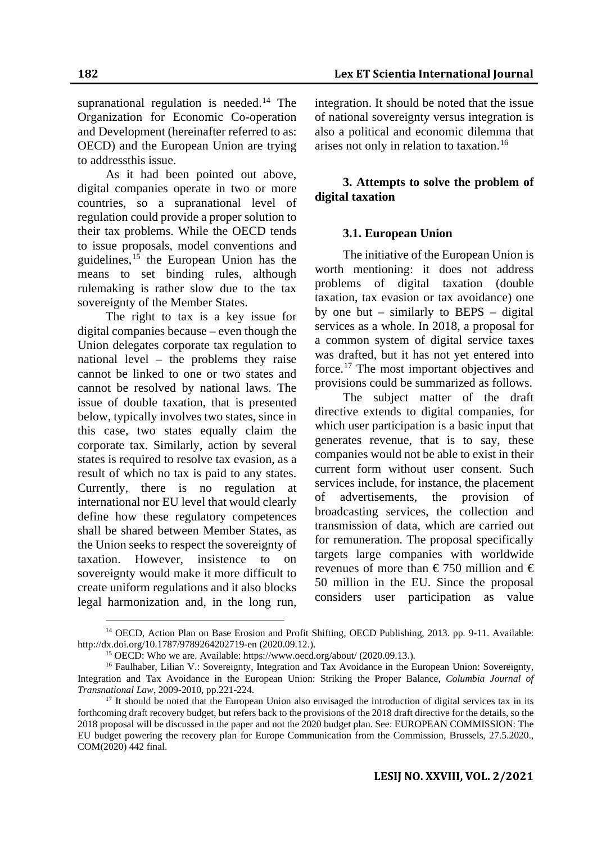supranational regulation is needed.<sup>[14](#page-4-0)</sup> The Organization for Economic Co-operation and Development (hereinafter referred to as: OECD) and the European Union are trying to addressthis issue.

As it had been pointed out above, digital companies operate in two or more countries, so a supranational level of regulation could provide a proper solution to their tax problems. While the OECD tends to issue proposals, model conventions and guidelines,  $15$  the European Union has the means to set binding rules, although rulemaking is rather slow due to the tax sovereignty of the Member States.

The right to tax is a key issue for digital companies because – even though the Union delegates corporate tax regulation to national level – the problems they raise cannot be linked to one or two states and cannot be resolved by national laws. The issue of double taxation, that is presented below, typically involves two states, since in this case, two states equally claim the corporate tax. Similarly, action by several states is required to resolve tax evasion, as a result of which no tax is paid to any states. Currently, there is no regulation at international nor EU level that would clearly define how these regulatory competences shall be shared between Member States, as the Union seeks to respect the sovereignty of taxation. However, insistence to on sovereignty would make it more difficult to create uniform regulations and it also blocks legal harmonization and, in the long run,

integration. It should be noted that the issue of national sovereignty versus integration is also a political and economic dilemma that arises not only in relation to taxation.[16](#page-4-2)

# **3. Attempts to solve the problem of digital taxation**

# **3.1. European Union**

The initiative of the European Union is worth mentioning: it does not address problems of digital taxation (double taxation, tax evasion or tax avoidance) one by one but – similarly to BEPS – digital services as a whole. In 2018, a proposal for a common system of digital service taxes was drafted, but it has not yet entered into force.[17](#page-4-3) The most important objectives and provisions could be summarized as follows.

The subject matter of the draft directive extends to digital companies, for which user participation is a basic input that generates revenue, that is to say, these companies would not be able to exist in their current form without user consent. Such services include, for instance, the placement of advertisements, the provision of broadcasting services, the collection and transmission of data, which are carried out for remuneration. The proposal specifically targets large companies with worldwide revenues of more than  $\epsilon$ 750 million and  $\epsilon$ 50 million in the EU. Since the proposal considers user participation as value

<span id="page-4-0"></span><sup>&</sup>lt;sup>14</sup> OECD, Action Plan on Base Erosion and Profit Shifting, OECD Publishing, 2013. pp. 9-11. Available: http://dx.doi.org/10.1787/9789264202719-en (2020.09.12.).

<sup>&</sup>lt;sup>15</sup> OECD: Who we are. Available: https://www.oecd.org/about/ (2020.09.13.).

<span id="page-4-2"></span><span id="page-4-1"></span><sup>&</sup>lt;sup>16</sup> Faulhaber, Lilian V.: Sovereignty, Integration and Tax Avoidance in the European Union: Sovereignty, Integration and Tax Avoidance in the European Union: Striking the Proper Balance, *Columbia Journal of Transnational Law*, 2009-2010, pp.221-224.

<span id="page-4-3"></span><sup>&</sup>lt;sup>17</sup> It should be noted that the European Union also envisaged the introduction of digital services tax in its forthcoming draft recovery budget, but refers back to the provisions of the 2018 draft directive for the details, so the 2018 proposal will be discussed in the paper and not the 2020 budget plan. See: EUROPEAN COMMISSION: The EU budget powering the recovery plan for Europe Communication from the Commission, Brussels, 27.5.2020., COM(2020) 442 final.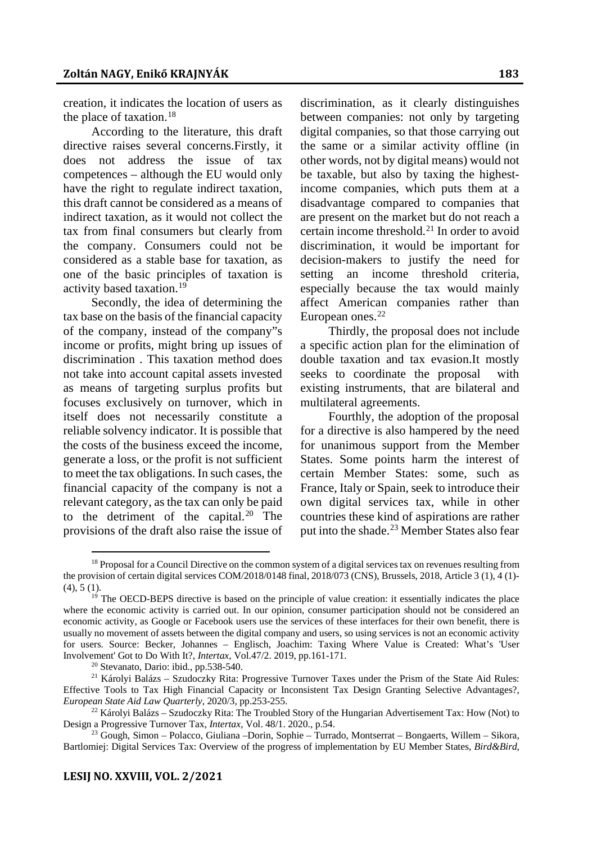creation, it indicates the location of users as the place of taxation.<sup>18</sup>

According to the literature, this draft directive raises several concerns.Firstly, it does not address the issue of tax competences – although the EU would only have the right to regulate indirect taxation, this draft cannot be considered as a means of indirect taxation, as it would not collect the tax from final consumers but clearly from the company. Consumers could not be considered as a stable base for taxation, as one of the basic principles of taxation is activity based taxation.[19](#page-5-1)

Secondly, the idea of determining the tax base on the basis of the financial capacity of the company, instead of the company"s income or profits, might bring up issues of discrimination . This taxation method does not take into account capital assets invested as means of targeting surplus profits but focuses exclusively on turnover, which in itself does not necessarily constitute a reliable solvency indicator. It is possible that the costs of the business exceed the income, generate a loss, or the profit is not sufficient to meet the tax obligations. In such cases, the financial capacity of the company is not a relevant category, as the tax can only be paid to the detriment of the capital. $20$  The provisions of the draft also raise the issue of discrimination, as it clearly distinguishes between companies: not only by targeting digital companies, so that those carrying out the same or a similar activity offline (in other words, not by digital means) would not be taxable, but also by taxing the highestincome companies, which puts them at a disadvantage compared to companies that are present on the market but do not reach a certain income threshold.<sup>[21](#page-5-3)</sup> In order to avoid discrimination, it would be important for decision-makers to justify the need for setting an income threshold criteria, especially because the tax would mainly affect American companies rather than European ones. $22$ 

Thirdly, the proposal does not include a specific action plan for the elimination of double taxation and tax evasion.It mostly seeks to coordinate the proposal with existing instruments, that are bilateral and multilateral agreements.

Fourthly, the adoption of the proposal for a directive is also hampered by the need for unanimous support from the Member States. Some points harm the interest of certain Member States: some, such as France, Italy or Spain, seek to introduce their own digital services tax, while in other countries these kind of aspirations are rather put into the shade.<sup>[23](#page-5-5)</sup> Member States also fear

<sup>20</sup> Stevanato, Dario: ibid., pp.538-540.

<span id="page-5-0"></span><sup>&</sup>lt;sup>18</sup> Proposal for a Council Directive on the common system of a digital services tax on revenues resulting from the provision of certain digital services COM/2018/0148 final, 2018/073 (CNS), Brussels, 2018, Article 3 (1), 4 (1)- $(4)$ , 5  $(1)$ .

<span id="page-5-1"></span><sup>&</sup>lt;sup>19</sup> The OECD-BEPS directive is based on the principle of value creation: it essentially indicates the place where the economic activity is carried out. In our opinion, consumer participation should not be considered an economic activity, as Google or Facebook users use the services of these interfaces for their own benefit, there is usually no movement of assets between the digital company and users, so using services is not an economic activity for users. Source: Becker, Johannes – Englisch, Joachim: Taxing Where Value is Created: What's 'User Involvement' Got to Do With It?, *Intertax*, Vol.47/2. 2019, pp.161-171.

<span id="page-5-3"></span><span id="page-5-2"></span><sup>&</sup>lt;sup>21</sup> Károlyi Balázs – Szudoczky Rita: Progressive Turnover Taxes under the Prism of the State Aid Rules: Effective Tools to Tax High Financial Capacity or Inconsistent Tax Design Granting Selective Advantages?, *European State Aid Law Quarterly*, 2020/3, pp.253-255.

<span id="page-5-4"></span><sup>&</sup>lt;sup>22</sup> Károlyi Balázs – Szudoczky Rita: The Troubled Story of the Hungarian Advertisement Tax: How (Not) to Design a Progressive Turnover Tax, *Intertax*, Vol. 48/1. 2020., p.54.

<span id="page-5-5"></span><sup>23</sup> Gough, Simon – Polacco, Giuliana –Dorin, Sophie – Turrado, Montserrat – Bongaerts, Willem – Sikora, Bartlomiej: Digital Services Tax: Overview of the progress of implementation by EU Member States, *Bird&Bird*,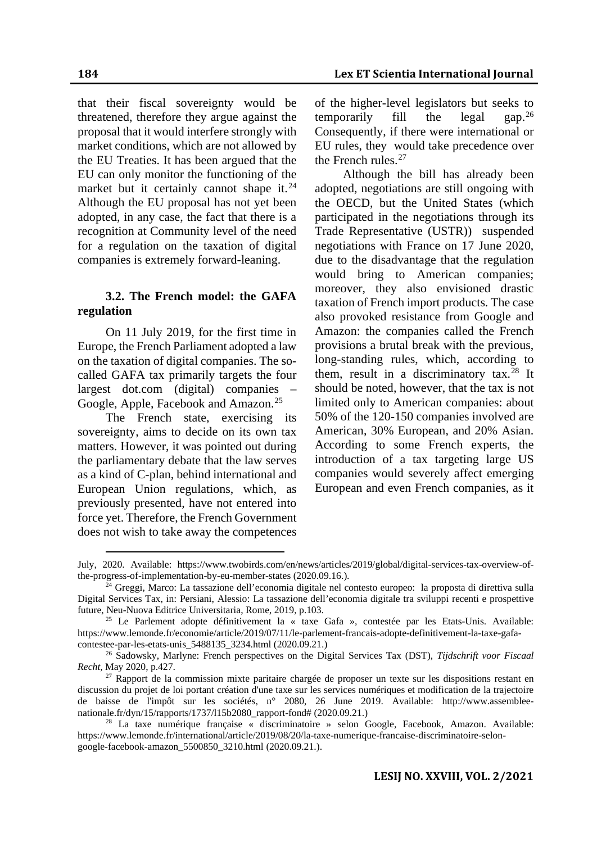that their fiscal sovereignty would be threatened, therefore they argue against the proposal that it would interfere strongly with market conditions, which are not allowed by the EU Treaties. It has been argued that the EU can only monitor the functioning of the market but it certainly cannot shape it.<sup>[24](#page-6-0)</sup> Although the EU proposal has not yet been adopted, in any case, the fact that there is a recognition at Community level of the need for a regulation on the taxation of digital companies is extremely forward-leaning.

#### **3.2. The French model: the GAFA regulation**

On 11 July 2019, for the first time in Europe, the French Parliament adopted a law on the taxation of digital companies. The socalled GAFA tax primarily targets the four largest dot.com (digital) companies – Google, Apple, Facebook and Amazon.<sup>[25](#page-6-1)</sup>

The French state, exercising its sovereignty, aims to decide on its own tax matters. However, it was pointed out during the parliamentary debate that the law serves as a kind of C-plan, behind international and European Union regulations, which, as previously presented, have not entered into force yet. Therefore, the French Government does not wish to take away the competences

of the higher-level legislators but seeks to<br>temporarily fill the legal gap.<sup>26</sup> temporarily fill the legal Consequently, if there were international or EU rules, they would take precedence over the French rules.<sup>[27](#page-6-3)</sup>

Although the bill has already been adopted, negotiations are still ongoing with the OECD, but the United States (which participated in the negotiations through its Trade Representative (USTR)) suspended negotiations with France on 17 June 2020, due to the disadvantage that the regulation would bring to American companies; moreover, they also envisioned drastic taxation of French import products. The case also provoked resistance from Google and Amazon: the companies called the French provisions a brutal break with the previous, long-standing rules, which, according to them, result in a discriminatory tax.<sup>[28](#page-6-4)</sup> It should be noted, however, that the tax is not limited only to American companies: about 50% of the 120-150 companies involved are American, 30% European, and 20% Asian. According to some French experts, the introduction of a tax targeting large US companies would severely affect emerging European and even French companies, as it

July, 2020. Available: https://www.twobirds.com/en/news/articles/2019/global/digital-services-tax-overview-ofthe-progress-of-implementation-by-eu-member-states (2020.09.16.).

<span id="page-6-0"></span><sup>&</sup>lt;sup>24</sup> Greggi, Marco: La tassazione dell'economia digitale nel contesto europeo: la proposta di direttiva sulla Digital Services Tax, in: Persiani, Alessio: La tassazione dell'economia digitale tra sviluppi recenti e prospettive future, Neu-Nuova Editrice Universitaria, Rome, 2019, p.103.

<span id="page-6-1"></span><sup>25</sup> Le Parlement adopte définitivement la « taxe Gafa », contestée par les Etats-Unis. Available: https://www.lemonde.fr/economie/article/2019/07/11/le-parlement-francais-adopte-definitivement-la-taxe-gafacontestee-par-les-etats-unis\_5488135\_3234.html (2020.09.21.)

<span id="page-6-2"></span><sup>26</sup> Sadowsky, Marlyne: French perspectives on the Digital Services Tax (DST), *Tijdschrift voor Fiscaal Recht*, May 2020, p.427.

<span id="page-6-3"></span><sup>&</sup>lt;sup>27</sup> Rapport de la commission mixte paritaire chargée de proposer un texte sur les dispositions restant en discussion du projet de loi portant création d'une taxe sur les services numériques et modification de la trajectoire de baisse de l'impôt sur les sociétés, n° 2080, 26 June 2019. Available: http://www.assembleenationale.fr/dyn/15/rapports/1737/l15b2080\_rapport-fond# (2020.09.21.)

<span id="page-6-4"></span><sup>28</sup> La taxe numérique française « discriminatoire » selon Google, Facebook, Amazon. Available: https://www.lemonde.fr/international/article/2019/08/20/la-taxe-numerique-francaise-discriminatoire-selongoogle-facebook-amazon\_5500850\_3210.html (2020.09.21.).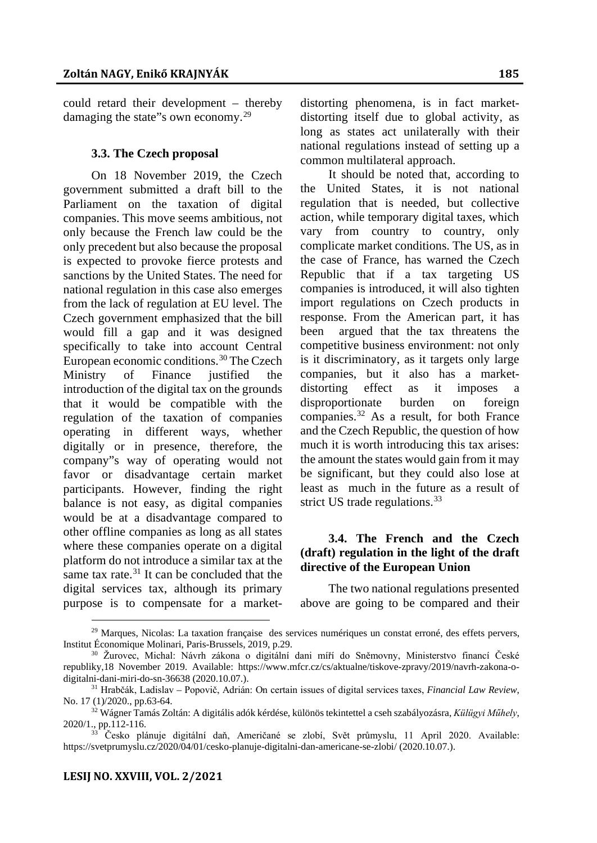could retard their development – thereby damaging the state"s own economy.<sup>[29](#page-7-0)</sup>

#### **3.3. The Czech proposal**

On 18 November 2019, the Czech government submitted a draft bill to the Parliament on the taxation of digital companies. This move seems ambitious, not only because the French law could be the only precedent but also because the proposal is expected to provoke fierce protests and sanctions by the United States. The need for national regulation in this case also emerges from the lack of regulation at EU level. The Czech government emphasized that the bill would fill a gap and it was designed specifically to take into account Central European economic conditions.<sup>[30](#page-7-1)</sup> The Czech Ministry of Finance justified the introduction of the digital tax on the grounds that it would be compatible with the regulation of the taxation of companies operating in different ways, whether digitally or in presence, therefore, the company"s way of operating would not favor or disadvantage certain market participants. However, finding the right balance is not easy, as digital companies would be at a disadvantage compared to other offline companies as long as all states where these companies operate on a digital platform do not introduce a similar tax at the same tax rate.<sup>[31](#page-7-2)</sup> It can be concluded that the digital services tax, although its primary purpose is to compensate for a market-

distorting phenomena, is in fact marketdistorting itself due to global activity, as long as states act unilaterally with their national regulations instead of setting up a common multilateral approach.

It should be noted that, according to the United States, it is not national regulation that is needed, but collective action, while temporary digital taxes, which vary from country to country, only complicate market conditions. The US, as in the case of France, has warned the Czech Republic that if a tax targeting US companies is introduced, it will also tighten import regulations on Czech products in response. From the American part, it has been argued that the tax threatens the competitive business environment: not only is it discriminatory, as it targets only large companies, but it also has a marketdistorting effect as it imposes a disproportionate burden on foreign companies.[32](#page-7-3) As a result, for both France and the Czech Republic, the question of how much it is worth introducing this tax arises: the amount the states would gain from it may be significant, but they could also lose at least as much in the future as a result of strict US trade regulations.<sup>[33](#page-7-4)</sup>

## **3.4. The French and the Czech (draft) regulation in the light of the draft directive of the European Union**

The two national regulations presented above are going to be compared and their

<span id="page-7-0"></span><sup>&</sup>lt;sup>29</sup> Marques, Nicolas: La taxation française des services numériques un constat erroné, des effets pervers, Institut Économique Molinari, Paris-Brussels, 2019, p.29.

<span id="page-7-1"></span><sup>30</sup> Žurovec, Michal: Návrh zákona o digitální dani míří do Sněmovny, Ministerstvo financí České republiky,18 November 2019. Available: https://www.mfcr.cz/cs/aktualne/tiskove-zpravy/2019/navrh-zakona-odigitalni-dani-miri-do-sn-36638 (2020.10.07.).

<span id="page-7-2"></span><sup>31</sup> Hrabčák, Ladislav – Popovič, Adrián: On certain issues of digital services taxes, *Financial Law Review*, No. 17 (1)/2020., pp.63-64.

<span id="page-7-3"></span><sup>32</sup> Wágner Tamás Zoltán: A digitális adók kérdése, különös tekintettel a cseh szabályozásra, *Külügyi Műhely*, 2020/1., pp.112-116.

<span id="page-7-4"></span><sup>&</sup>lt;sup>33</sup> Česko plánuje digitální daň, Američané se zlobí, Svět průmyslu, 11 April 2020. Available: https://svetprumyslu.cz/2020/04/01/cesko-planuje-digitalni-dan-americane-se-zlobi/ (2020.10.07.).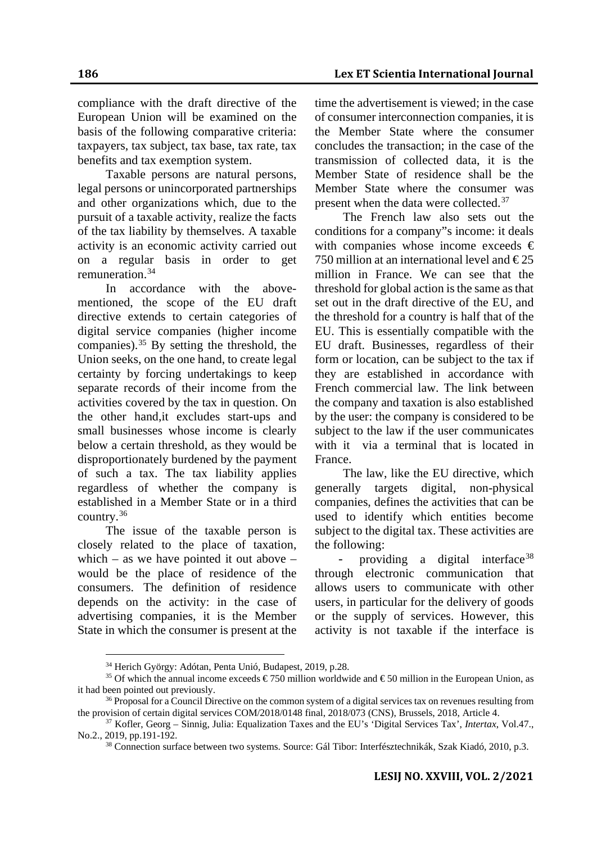compliance with the draft directive of the European Union will be examined on the basis of the following comparative criteria: taxpayers, tax subject, tax base, tax rate, tax benefits and tax exemption system.

Taxable persons are natural persons, legal persons or unincorporated partnerships and other organizations which, due to the pursuit of a taxable activity, realize the facts of the tax liability by themselves. A taxable activity is an economic activity carried out on a regular basis in order to get remuneration.[34](#page-8-0)

In accordance with the abovementioned, the scope of the EU draft directive extends to certain categories of digital service companies (higher income companies).  $35$  By setting the threshold, the Union seeks, on the one hand, to create legal certainty by forcing undertakings to keep separate records of their income from the activities covered by the tax in question. On the other hand,it excludes start-ups and small businesses whose income is clearly below a certain threshold, as they would be disproportionately burdened by the payment of such a tax. The tax liability applies regardless of whether the company is established in a Member State or in a third country.[36](#page-8-2)

The issue of the taxable person is closely related to the place of taxation, which – as we have pointed it out above – would be the place of residence of the consumers. The definition of residence depends on the activity: in the case of advertising companies, it is the Member State in which the consumer is present at the

time the advertisement is viewed; in the case of consumer interconnection companies, it is the Member State where the consumer concludes the transaction; in the case of the transmission of collected data, it is the Member State of residence shall be the Member State where the consumer was present when the data were collected.<sup>[37](#page-8-3)</sup>

The French law also sets out the conditions for a company"s income: it deals with companies whose income exceeds  $\epsilon$ 750 million at an international level and  $\epsilon$ 25 million in France. We can see that the threshold for global action is the same as that set out in the draft directive of the EU, and the threshold for a country is half that of the EU. This is essentially compatible with the EU draft. Businesses, regardless of their form or location, can be subject to the tax if they are established in accordance with French commercial law. The link between the company and taxation is also established by the user: the company is considered to be subject to the law if the user communicates with it via a terminal that is located in France.

The law, like the EU directive, which generally targets digital, non-physical companies, defines the activities that can be used to identify which entities become subject to the digital tax. These activities are the following:

providing a digital interface<sup>[38](#page-8-4)</sup> through electronic communication that allows users to communicate with other users, in particular for the delivery of goods or the supply of services. However, this activity is not taxable if the interface is

<sup>34</sup> Herich György: Adótan, Penta Unió, Budapest, 2019, p.28.

<span id="page-8-1"></span><span id="page-8-0"></span><sup>&</sup>lt;sup>35</sup> Of which the annual income exceeds  $\epsilon$  750 million worldwide and  $\epsilon$  50 million in the European Union, as it had been pointed out previously.

<span id="page-8-2"></span><sup>&</sup>lt;sup>36</sup> Proposal for a Council Directive on the common system of a digital services tax on revenues resulting from the provision of certain digital services COM/2018/0148 final, 2018/073 (CNS), Brussels, 2018, Article 4.

<span id="page-8-4"></span><span id="page-8-3"></span><sup>37</sup> Kofler, Georg – Sinnig, Julia: Equalization Taxes and the EU's 'Digital Services Tax', *Intertax*, Vol.47., No.2., 2019, pp.191-192.

<sup>&</sup>lt;sup>38</sup> Connection surface between two systems. Source: Gál Tibor: Interfésztechnikák, Szak Kiadó, 2010, p.3.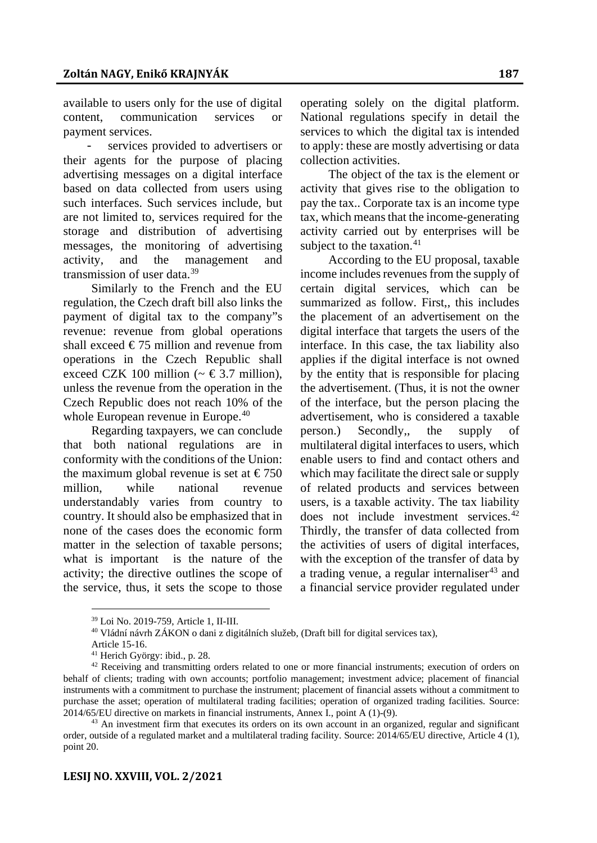available to users only for the use of digital content, communication services or payment services.

services provided to advertisers or their agents for the purpose of placing advertising messages on a digital interface based on data collected from users using such interfaces. Such services include, but are not limited to, services required for the storage and distribution of advertising messages, the monitoring of advertising activity, and the management and transmission of user data.[39](#page-9-0)

Similarly to the French and the EU regulation, the Czech draft bill also links the payment of digital tax to the company"s revenue: revenue from global operations shall exceed  $\epsilon$ 75 million and revenue from operations in the Czech Republic shall exceed CZK 100 million ( $\sim \text{\textsterling}3.7$  million), unless the revenue from the operation in the Czech Republic does not reach 10% of the whole European revenue in Europe.<sup>[40](#page-9-1)</sup>

Regarding taxpayers, we can conclude that both national regulations are in conformity with the conditions of the Union: the maximum global revenue is set at  $\epsilon$ 750 million, while national revenue understandably varies from country to country. It should also be emphasized that in none of the cases does the economic form matter in the selection of taxable persons; what is important is the nature of the activity; the directive outlines the scope of the service, thus, it sets the scope to those

operating solely on the digital platform. National regulations specify in detail the services to which the digital tax is intended to apply: these are mostly advertising or data collection activities.

The object of the tax is the element or activity that gives rise to the obligation to pay the tax.. Corporate tax is an income type tax, which means that the income-generating activity carried out by enterprises will be subject to the taxation. $41$ 

According to the EU proposal, taxable income includes revenues from the supply of certain digital services, which can be summarized as follow. First,, this includes the placement of an advertisement on the digital interface that targets the users of the interface. In this case, the tax liability also applies if the digital interface is not owned by the entity that is responsible for placing the advertisement. (Thus, it is not the owner of the interface, but the person placing the advertisement, who is considered a taxable person.) Secondly,, the supply of multilateral digital interfaces to users, which enable users to find and contact others and which may facilitate the direct sale or supply of related products and services between users, is a taxable activity. The tax liability does not include investment services.<sup>[42](#page-9-3)</sup> Thirdly, the transfer of data collected from the activities of users of digital interfaces, with the exception of the transfer of data by a trading venue, a regular internaliser $43$  and a financial service provider regulated under

<sup>39</sup> Loi No. 2019-759, Article 1, II-III.

<sup>40</sup> Vládní návrh ZÁKON o dani z digitálních služeb, (Draft bill for digital services tax),

Article 15-16.

<sup>41</sup> Herich György: ibid., p. 28.

<span id="page-9-3"></span><span id="page-9-2"></span><span id="page-9-1"></span><span id="page-9-0"></span><sup>&</sup>lt;sup>42</sup> Receiving and transmitting orders related to one or more financial instruments; execution of orders on behalf of clients; trading with own accounts; portfolio management; investment advice; placement of financial instruments with a commitment to purchase the instrument; placement of financial assets without a commitment to purchase the asset; operation of multilateral trading facilities; operation of organized trading facilities. Source: 2014/65/EU directive on markets in financial instruments, Annex I., point A (1)-(9).

<span id="page-9-4"></span> $43$  An investment firm that executes its orders on its own account in an organized, regular and significant order, outside of a regulated market and a multilateral trading facility. Source: 2014/65/EU directive, Article 4 (1), point 20.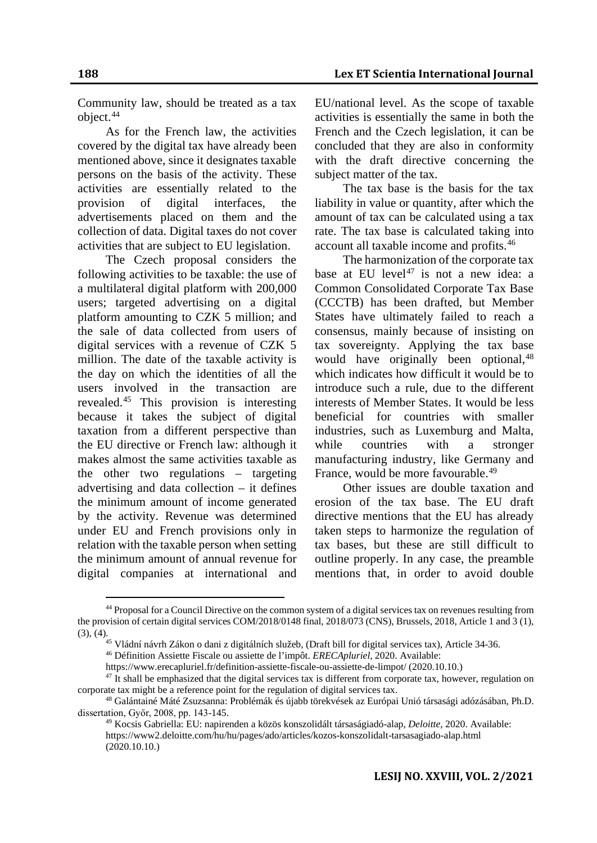Community law, should be treated as a tax object.[44](#page-10-0)

As for the French law, the activities covered by the digital tax have already been mentioned above, since it designates taxable persons on the basis of the activity. These activities are essentially related to the provision of digital interfaces, the advertisements placed on them and the collection of data. Digital taxes do not cover activities that are subject to EU legislation.

The Czech proposal considers the following activities to be taxable: the use of a multilateral digital platform with 200,000 users; targeted advertising on a digital platform amounting to CZK 5 million; and the sale of data collected from users of digital services with a revenue of CZK 5 million. The date of the taxable activity is the day on which the identities of all the users involved in the transaction are revealed[.45](#page-10-1) This provision is interesting because it takes the subject of digital taxation from a different perspective than the EU directive or French law: although it makes almost the same activities taxable as the other two regulations – targeting advertising and data collection – it defines the minimum amount of income generated by the activity. Revenue was determined under EU and French provisions only in relation with the taxable person when setting the minimum amount of annual revenue for digital companies at international and

EU/national level. As the scope of taxable activities is essentially the same in both the French and the Czech legislation, it can be concluded that they are also in conformity with the draft directive concerning the subject matter of the tax.

The tax base is the basis for the tax liability in value or quantity, after which the amount of tax can be calculated using a tax rate. The tax base is calculated taking into account all taxable income and profits.[46](#page-10-2)

The harmonization of the corporate tax base at EU level<sup>[47](#page-10-3)</sup> is not a new idea: a Common Consolidated Corporate Tax Base (CCCTB) has been drafted, but Member States have ultimately failed to reach a consensus, mainly because of insisting on tax sovereignty. Applying the tax base would have originally been optional, <sup>[48](#page-10-4)</sup> which indicates how difficult it would be to introduce such a rule, due to the different interests of Member States. It would be less beneficial for countries with smaller industries, such as Luxemburg and Malta, while countries with a stronger manufacturing industry, like Germany and France, would be more favourable.<sup>[49](#page-10-5)</sup>

Other issues are double taxation and erosion of the tax base. The EU draft directive mentions that the EU has already taken steps to harmonize the regulation of tax bases, but these are still difficult to outline properly. In any case, the preamble mentions that, in order to avoid double

<span id="page-10-0"></span><sup>44</sup> Proposal for a Council Directive on the common system of a digital services tax on revenues resulting from the provision of certain digital services COM/2018/0148 final, 2018/073 (CNS), Brussels, 2018, Article 1 and 3 (1), (3), (4).45 Vládní návrh Zákon o dani z digitálních služeb, (Draft bill for digital services tax), Article 34-36.

<sup>46</sup> Définition Assiette Fiscale ou assiette de l'impôt. *ERECApluriel,* 2020. Available:

https://www.erecapluriel.fr/definition-assiette-fiscale-ou-assiette-de-limpot/ (2020.10.10.)

<span id="page-10-3"></span><span id="page-10-2"></span><span id="page-10-1"></span> $47$  It shall be emphasized that the digital services tax is different from corporate tax, however, regulation on corporate tax might be a reference point for the regulation of digital services tax.

<span id="page-10-5"></span><span id="page-10-4"></span><sup>48</sup> Galántainé Máté Zsuzsanna: Problémák és újabb törekvések az Európai Unió társasági adózásában, Ph.D. dissertation, Győr, 2008, pp. 143-145.

<sup>49</sup> Kocsis Gabriella: EU: napirenden a közös konszolidált társaságiadó-alap, *Deloitte*, 2020. Available: https://www2.deloitte.com/hu/hu/pages/ado/articles/kozos-konszolidalt-tarsasagiado-alap.html (2020.10.10.)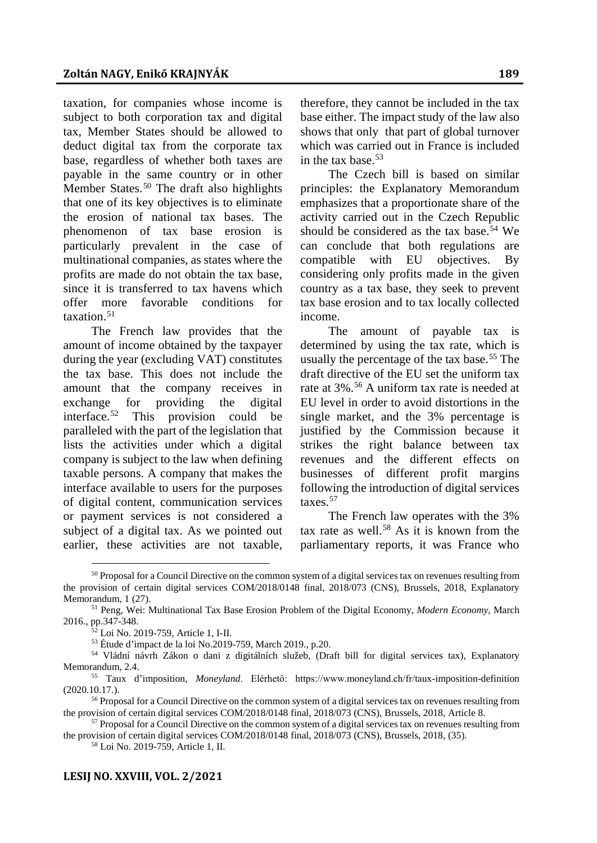taxation, for companies whose income is subject to both corporation tax and digital tax, Member States should be allowed to deduct digital tax from the corporate tax base, regardless of whether both taxes are payable in the same country or in other Member States.<sup>[50](#page-11-0)</sup> The draft also highlights that one of its key objectives is to eliminate the erosion of national tax bases. The phenomenon of tax base erosion is particularly prevalent in the case of multinational companies, as states where the profits are made do not obtain the tax base, since it is transferred to tax havens which offer more favorable conditions for taxation.<sup>[51](#page-11-1)</sup>

The French law provides that the amount of income obtained by the taxpayer during the year (excluding VAT) constitutes the tax base. This does not include the amount that the company receives in exchange for providing the digital interface.[52](#page-11-2) This provision could be paralleled with the part of the legislation that lists the activities under which a digital company is subject to the law when defining taxable persons. A company that makes the interface available to users for the purposes of digital content, communication services or payment services is not considered a subject of a digital tax. As we pointed out earlier, these activities are not taxable,

therefore, they cannot be included in the tax base either. The impact study of the law also shows that only that part of global turnover which was carried out in France is included in the tax base.<sup>[53](#page-11-3)</sup>

The Czech bill is based on similar principles: the Explanatory Memorandum emphasizes that a proportionate share of the activity carried out in the Czech Republic should be considered as the tax base.<sup>[54](#page-11-4)</sup> We can conclude that both regulations are compatible with EU objectives. By considering only profits made in the given country as a tax base, they seek to prevent tax base erosion and to tax locally collected income.

The amount of payable tax is determined by using the tax rate, which is usually the percentage of the tax base.<sup>[55](#page-11-5)</sup> The draft directive of the EU set the uniform tax rate at 3%.<sup>[56](#page-11-6)</sup> A uniform tax rate is needed at EU level in order to avoid distortions in the single market, and the 3% percentage is justified by the Commission because it strikes the right balance between tax revenues and the different effects on businesses of different profit margins following the introduction of digital services taxes<sup>[57](#page-11-7)</sup>

The French law operates with the 3% tax rate as well.<sup>[58](#page-11-8)</sup> As it is known from the parliamentary reports, it was France who

<span id="page-11-0"></span><sup>&</sup>lt;sup>50</sup> Proposal for a Council Directive on the common system of a digital services tax on revenues resulting from the provision of certain digital services COM/2018/0148 final, 2018/073 (CNS), Brussels, 2018, Explanatory Memorandum, 1 (27).

<span id="page-11-2"></span><span id="page-11-1"></span><sup>51</sup> Peng, Wei: Multinational Tax Base Erosion Problem of the Digital Economy, *Modern Economy*, March 2016., pp.347-348.

<sup>&</sup>lt;sup>2</sup> Loi No. 2019-759, Article 1, I-II.

<sup>53</sup> Étude d'impact de la loi No.2019-759, March 2019., p.20.

<span id="page-11-4"></span><span id="page-11-3"></span><sup>54</sup> Vládní návrh Zákon o dani z digitálních služeb, (Draft bill for digital services tax), Explanatory Memorandum, 2.4.

<span id="page-11-5"></span><sup>55</sup> Taux d'imposition, *Moneyland*. Elérhető: https://www.moneyland.ch/fr/taux-imposition-definition (2020.10.17.).

<span id="page-11-6"></span><sup>&</sup>lt;sup>56</sup> Proposal for a Council Directive on the common system of a digital services tax on revenues resulting from the provision of certain digital services COM/2018/0148 final, 2018/073 (CNS), Brussels, 2018, Article 8.

<span id="page-11-8"></span><span id="page-11-7"></span><sup>&</sup>lt;sup>57</sup> Proposal for a Council Directive on the common system of a digital services tax on revenues resulting from the provision of certain digital services COM/2018/0148 final, 2018/073 (CNS), Brussels, 2018, (35).

<sup>58</sup> Loi No. 2019-759, Article 1, II.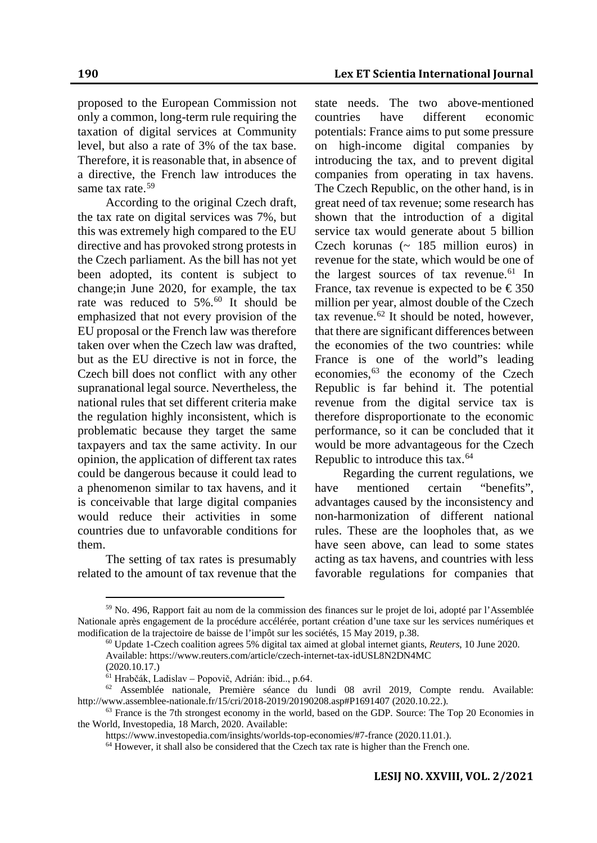**190 Lex ET Scientia International Journal**

proposed to the European Commission not only a common, long-term rule requiring the taxation of digital services at Community level, but also a rate of 3% of the tax base. Therefore, it is reasonable that, in absence of a directive, the French law introduces the same tax rate.<sup>[59](#page-12-0)</sup>

According to the original Czech draft, the tax rate on digital services was 7%, but this was extremely high compared to the EU directive and has provoked strong protests in the Czech parliament. As the bill has not yet been adopted, its content is subject to change;in June 2020, for example, the tax rate was reduced to 5%.<sup>[60](#page-12-1)</sup> It should be emphasized that not every provision of the EU proposal or the French law was therefore taken over when the Czech law was drafted, but as the EU directive is not in force, the Czech bill does not conflict with any other supranational legal source. Nevertheless, the national rules that set different criteria make the regulation highly inconsistent, which is problematic because they target the same taxpayers and tax the same activity. In our opinion, the application of different tax rates could be dangerous because it could lead to a phenomenon similar to tax havens, and it is conceivable that large digital companies would reduce their activities in some countries due to unfavorable conditions for them.

The setting of tax rates is presumably related to the amount of tax revenue that the state needs. The two above-mentioned countries have different economic potentials: France aims to put some pressure on high-income digital companies by introducing the tax, and to prevent digital companies from operating in tax havens. The Czech Republic, on the other hand, is in great need of tax revenue; some research has shown that the introduction of a digital service tax would generate about 5 billion Czech korunas  $($   $\sim$  185 million euros) in revenue for the state, which would be one of the largest sources of tax revenue. $61$  In France, tax revenue is expected to be  $\epsilon$ 350 million per year, almost double of the Czech tax revenue.<sup>[62](#page-12-3)</sup> It should be noted, however, that there are significant differences between the economies of the two countries: while France is one of the world"s leading economies,<sup>[63](#page-12-4)</sup> the economy of the Czech Republic is far behind it. The potential revenue from the digital service tax is therefore disproportionate to the economic performance, so it can be concluded that it would be more advantageous for the Czech Republic to introduce this tax.<sup>[64](#page-12-5)</sup>

Regarding the current regulations, we have mentioned certain "benefits", advantages caused by the inconsistency and non-harmonization of different national rules. These are the loopholes that, as we have seen above, can lead to some states acting as tax havens, and countries with less favorable regulations for companies that

<span id="page-12-1"></span><span id="page-12-0"></span><sup>59</sup> No. 496, Rapport fait au nom de la commission des finances sur le projet de loi, adopté par l'Assemblée Nationale après engagement de la procédure accélérée, portant création d'une taxe sur les services numériques et modification de la trajectoire de baisse de l'impôt sur les sociétés, 15 May 2019, p.38.

<sup>60</sup> Update 1-Czech coalition agrees 5% digital tax aimed at global internet giants, *Reuters*, 10 June 2020. Available: https://www.reuters.com/article/czech-internet-tax-idUSL8N2DN4MC (2020.10.17.)

<sup>61</sup> Hrabčák, Ladislav – Popovič, Adrián: ibid.., p.64.

<span id="page-12-3"></span><span id="page-12-2"></span><sup>62</sup> Assemblée nationale, Première séance du lundi 08 avril 2019, Compte rendu. Available: http://www.assemblee-nationale.fr/15/cri/2018-2019/20190208.asp#P1691407 (2020.10.22.).

<span id="page-12-5"></span><span id="page-12-4"></span><sup>&</sup>lt;sup>63</sup> France is the 7th strongest economy in the world, based on the GDP. Source: The Top 20 Economies in the World, Investopedia, 18 March, 2020. Available:

https://www.investopedia.com/insights/worlds-top-economies/#7-france (2020.11.01.).

<sup>&</sup>lt;sup>64</sup> However, it shall also be considered that the Czech tax rate is higher than the French one.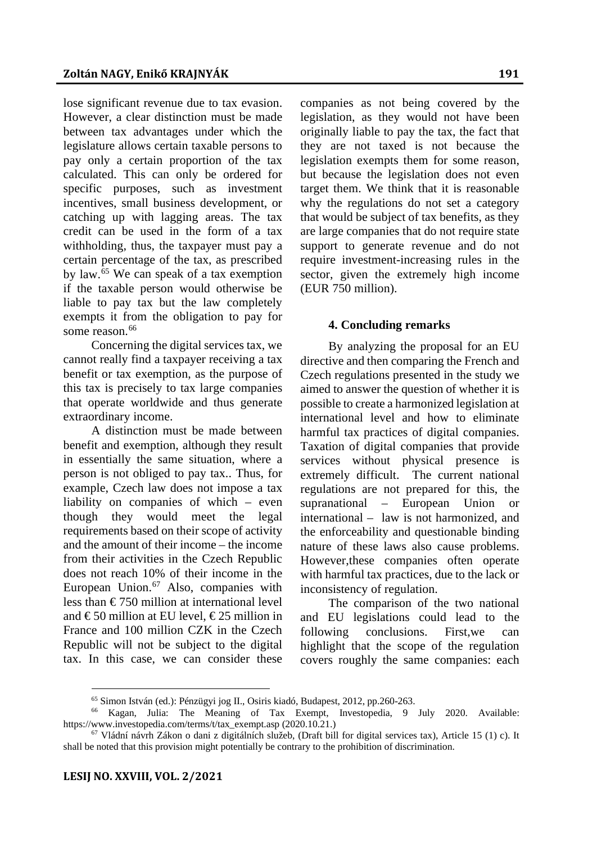lose significant revenue due to tax evasion. However, a clear distinction must be made between tax advantages under which the legislature allows certain taxable persons to pay only a certain proportion of the tax calculated. This can only be ordered for specific purposes, such as investment incentives, small business development, or catching up with lagging areas. The tax credit can be used in the form of a tax withholding, thus, the taxpayer must pay a certain percentage of the tax, as prescribed by law.[65](#page-13-0) We can speak of a tax exemption if the taxable person would otherwise be liable to pay tax but the law completely exempts it from the obligation to pay for some reason.<sup>[66](#page-13-1)</sup>

Concerning the digital services tax, we cannot really find a taxpayer receiving a tax benefit or tax exemption, as the purpose of this tax is precisely to tax large companies that operate worldwide and thus generate extraordinary income.

A distinction must be made between benefit and exemption, although they result in essentially the same situation, where a person is not obliged to pay tax.. Thus, for example, Czech law does not impose a tax liability on companies of which – even though they would meet the legal requirements based on their scope of activity and the amount of their income – the income from their activities in the Czech Republic does not reach 10% of their income in the European Union.<sup>[67](#page-13-2)</sup> Also, companies with less than  $\epsilon$ 750 million at international level and  $\text{\textsterling}50$  million at EU level,  $\text{\textsterling}25$  million in France and 100 million CZK in the Czech Republic will not be subject to the digital tax. In this case, we can consider these

companies as not being covered by the legislation, as they would not have been originally liable to pay the tax, the fact that they are not taxed is not because the legislation exempts them for some reason, but because the legislation does not even target them. We think that it is reasonable why the regulations do not set a category that would be subject of tax benefits, as they are large companies that do not require state support to generate revenue and do not require investment-increasing rules in the sector, given the extremely high income (EUR 750 million).

## **4. Concluding remarks**

By analyzing the proposal for an EU directive and then comparing the French and Czech regulations presented in the study we aimed to answer the question of whether it is possible to create a harmonized legislation at international level and how to eliminate harmful tax practices of digital companies. Taxation of digital companies that provide services without physical presence is extremely difficult. The current national regulations are not prepared for this, the supranational – European Union or international – law is not harmonized, and the enforceability and questionable binding nature of these laws also cause problems. However,these companies often operate with harmful tax practices, due to the lack or inconsistency of regulation.

The comparison of the two national and EU legislations could lead to the following conclusions. First,we can highlight that the scope of the regulation covers roughly the same companies: each

<sup>65</sup> Simon István (ed.): Pénzügyi jog II., Osiris kiadó, Budapest, 2012, pp.260-263.

<span id="page-13-1"></span><span id="page-13-0"></span><sup>66</sup> Kagan, Julia: The Meaning of Tax Exempt, Investopedia, 9 July 2020. Available: https://www.investopedia.com/terms/t/tax\_exempt.asp (2020.10.21.)

<span id="page-13-2"></span> $67$  Vládní návrh Zákon o dani z digitálních služeb, (Draft bill for digital services tax), Article 15 (1) c). It shall be noted that this provision might potentially be contrary to the prohibition of discrimination.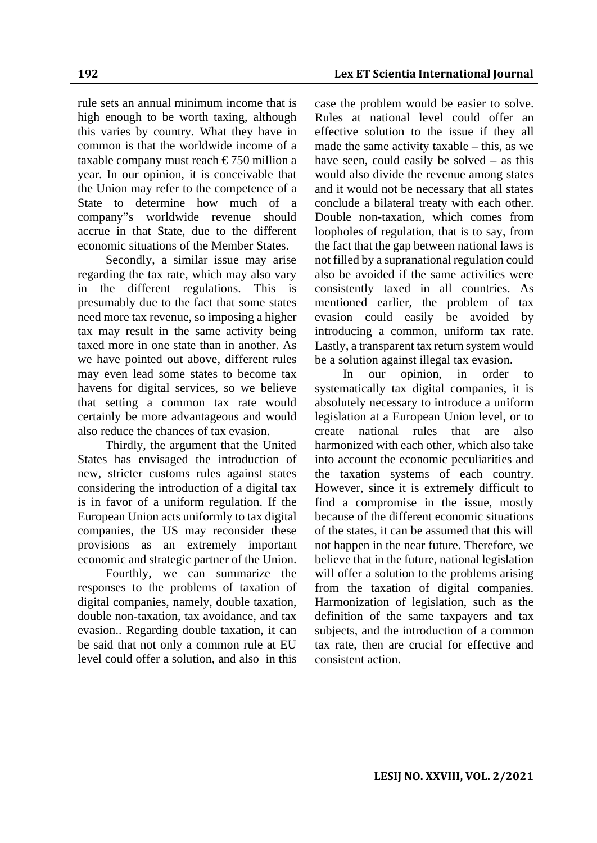rule sets an annual minimum income that is high enough to be worth taxing, although this varies by country. What they have in common is that the worldwide income of a taxable company must reach  $\epsilon$ 750 million a year. In our opinion, it is conceivable that the Union may refer to the competence of a State to determine how much of a company"s worldwide revenue should accrue in that State, due to the different economic situations of the Member States.

Secondly, a similar issue may arise regarding the tax rate, which may also vary in the different regulations. This is presumably due to the fact that some states need more tax revenue, so imposing a higher tax may result in the same activity being taxed more in one state than in another. As we have pointed out above, different rules may even lead some states to become tax havens for digital services, so we believe that setting a common tax rate would certainly be more advantageous and would also reduce the chances of tax evasion.

Thirdly, the argument that the United States has envisaged the introduction of new, stricter customs rules against states considering the introduction of a digital tax is in favor of a uniform regulation. If the European Union acts uniformly to tax digital companies, the US may reconsider these provisions as an extremely important economic and strategic partner of the Union.

Fourthly, we can summarize the responses to the problems of taxation of digital companies, namely, double taxation, double non-taxation, tax avoidance, and tax evasion.. Regarding double taxation, it can be said that not only a common rule at EU level could offer a solution, and also in this

case the problem would be easier to solve. Rules at national level could offer an effective solution to the issue if they all made the same activity taxable – this, as we have seen, could easily be solved – as this would also divide the revenue among states and it would not be necessary that all states conclude a bilateral treaty with each other. Double non-taxation, which comes from loopholes of regulation, that is to say, from the fact that the gap between national laws is not filled by a supranational regulation could also be avoided if the same activities were consistently taxed in all countries. As mentioned earlier, the problem of tax evasion could easily be avoided by introducing a common, uniform tax rate. Lastly, a transparent tax return system would be a solution against illegal tax evasion.

In our opinion, in order to systematically tax digital companies, it is absolutely necessary to introduce a uniform legislation at a European Union level, or to create national rules that are also harmonized with each other, which also take into account the economic peculiarities and the taxation systems of each country. However, since it is extremely difficult to find a compromise in the issue, mostly because of the different economic situations of the states, it can be assumed that this will not happen in the near future. Therefore, we believe that in the future, national legislation will offer a solution to the problems arising from the taxation of digital companies. Harmonization of legislation, such as the definition of the same taxpayers and tax subjects, and the introduction of a common tax rate, then are crucial for effective and consistent action.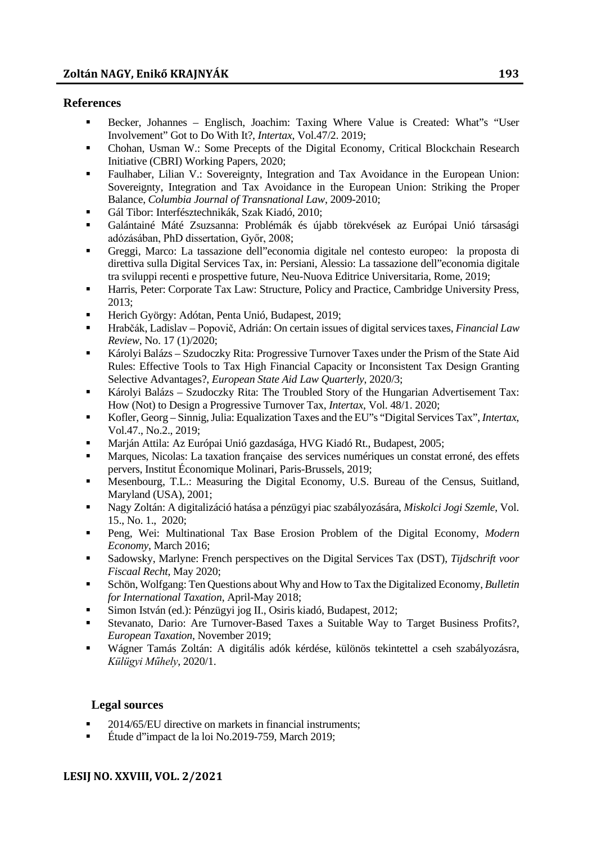### **References**

- Becker, Johannes Englisch, Joachim: Taxing Where Value is Created: What"s "User Involvement" Got to Do With It?, *Intertax*, Vol.47/2. 2019;
- Chohan, Usman W.: Some Precepts of the Digital Economy, Critical Blockchain Research Initiative (CBRI) Working Papers, 2020;
- Faulhaber, Lilian V.: Sovereignty, Integration and Tax Avoidance in the European Union: Sovereignty, Integration and Tax Avoidance in the European Union: Striking the Proper Balance, *Columbia Journal of Transnational Law*, 2009-2010;
- Gál Tibor: Interfésztechnikák, Szak Kiadó, 2010;
- Galántainé Máté Zsuzsanna: Problémák és újabb törekvések az Európai Unió társasági adózásában, PhD dissertation, Győr, 2008;
- Greggi, Marco: La tassazione dell"economia digitale nel contesto europeo: la proposta di direttiva sulla Digital Services Tax, in: Persiani, Alessio: La tassazione dell"economia digitale tra sviluppi recenti e prospettive future, Neu-Nuova Editrice Universitaria, Rome, 2019;
- Harris, Peter: Corporate Tax Law: Structure, Policy and Practice, Cambridge University Press, 2013;
- Herich György: Adótan, Penta Unió, Budapest, 2019;
- Hrabčák, Ladislav Popovič, Adrián: On certain issues of digital services taxes, *Financial Law Review*, No. 17 (1)/2020;
- Károlyi Balázs Szudoczky Rita: Progressive Turnover Taxes under the Prism of the State Aid Rules: Effective Tools to Tax High Financial Capacity or Inconsistent Tax Design Granting Selective Advantages?, *European State Aid Law Quarterly*, 2020/3;
- Károlyi Balázs Szudoczky Rita: The Troubled Story of the Hungarian Advertisement Tax: How (Not) to Design a Progressive Turnover Tax, *Intertax*, Vol. 48/1. 2020;
- Kofler, Georg Sinnig, Julia: Equalization Taxes and the EU"s "Digital Services Tax", *Intertax*, Vol.47., No.2., 2019;
- Marján Attila: Az Európai Unió gazdasága, HVG Kiadó Rt., Budapest, 2005;
- Marques, Nicolas: La taxation française des services numériques un constat erroné, des effets pervers, Institut Économique Molinari, Paris-Brussels, 2019;
- Mesenbourg, T.L.: Measuring the Digital Economy, U.S. Bureau of the Census, Suitland, Maryland (USA), 2001;
- Nagy Zoltán: A digitalizáció hatása a pénzügyi piac szabályozására, *Miskolci Jogi Szemle*, Vol. 15., No. 1., 2020;
- Peng, Wei: Multinational Tax Base Erosion Problem of the Digital Economy, *Modern Economy*, March 2016;
- Sadowsky, Marlyne: French perspectives on the Digital Services Tax (DST), *Tijdschrift voor Fiscaal Recht*, May 2020;
- Schön, Wolfgang: Ten Questions about Why and How to Tax the Digitalized Economy, *Bulletin for International Taxation*, April-May 2018;
- Simon István (ed.): Pénzügyi jog II., Osiris kiadó, Budapest, 2012;
- Stevanato, Dario: Are Turnover-Based Taxes a Suitable Way to Target Business Profits?, *European Taxation*, November 2019;
- Wágner Tamás Zoltán: A digitális adók kérdése, különös tekintettel a cseh szabályozásra, *Külügyi Műhely*, 2020/1.

# **Legal sources**

- 2014/65/EU directive on markets in financial instruments;
- Étude d"impact de la loi No.2019-759, March 2019;

#### **LESIJ NO. XXVIII, VOL. 2/2021**